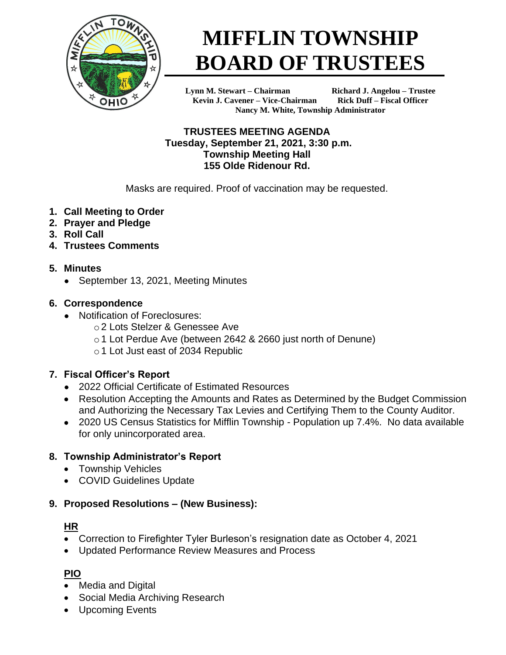

# **MIFFLIN TOWNSHIP BOARD OF TRUSTEES**

**Lynn M. Stewart – Chairman Richard J. Angelou – Trustee Kevin J. Cavener – Vice-Chairman Rick Duff – Fiscal Officer Nancy M. White, Township Administrator**

#### **TRUSTEES MEETING AGENDA Tuesday, September 21, 2021, 3:30 p.m. Township Meeting Hall 155 Olde Ridenour Rd.**

Masks are required. Proof of vaccination may be requested.

- **1. Call Meeting to Order**
- **2. Prayer and Pledge**
- **3. Roll Call**
- **4. Trustees Comments**
- **5. Minutes**
	- September 13, 2021, Meeting Minutes

## **6. Correspondence**

- Notification of Foreclosures:
	- o2 Lots Stelzer & Genessee Ave
	- o 1 Lot Perdue Ave (between 2642 & 2660 just north of Denune)
	- o 1 Lot Just east of 2034 Republic

# **7. Fiscal Officer's Report**

- 2022 Official Certificate of Estimated Resources
- Resolution Accepting the Amounts and Rates as Determined by the Budget Commission and Authorizing the Necessary Tax Levies and Certifying Them to the County Auditor.
- 2020 US Census Statistics for Mifflin Township Population up 7.4%. No data available for only unincorporated area.

# **8. Township Administrator's Report**

- Township Vehicles
- COVID Guidelines Update

# **9. Proposed Resolutions – (New Business):**

# **HR**

- Correction to Firefighter Tyler Burleson's resignation date as October 4, 2021
- Updated Performance Review Measures and Process

# **PIO**

- Media and Digital
- Social Media Archiving Research
- Upcoming Events